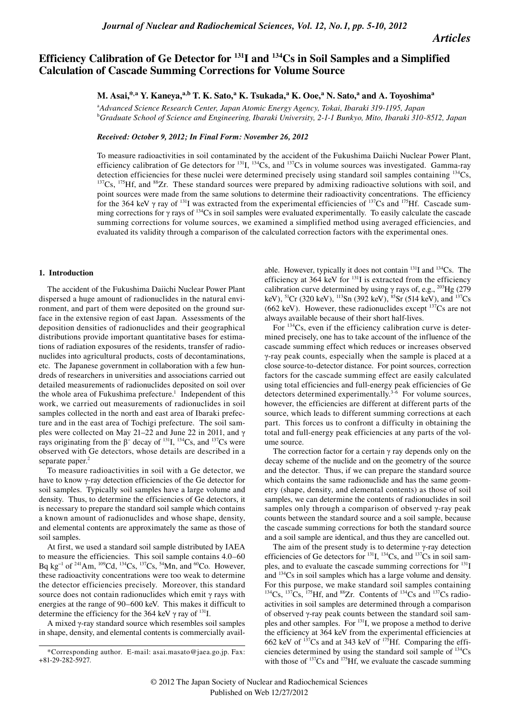*Articles*

# **Efficiency Calibration of Ge Detector for 131I and 134Cs in Soil Samples and a Simplified Calculation of Cascade Summing Corrections for Volume Source**

 $M$ . Asai, $*$ .a  $Y$ . Kaneya, $*$ .b T. K. Sato, $*$  K. Tsukada, $*$  K. Ooe, $*$  N. Sato, $*$  and A. Toyoshima $*$ 

a *Advanced Science Research Center, Japan Atomic Energy Agency, Tokai, Ibaraki 319-1195, Japan* b *Graduate School of Science and Engineering, Ibaraki University, 2-1-1 Bunkyo, Mito, Ibaraki 310-8512, Japan*

*Received: October 9, 2012; In Final Form: November 26, 2012*

To measure radioactivities in soil contaminated by the accident of the Fukushima Daiichi Nuclear Power Plant, efficiency calibration of Ge detectors for  $^{131}I$ ,  $^{134}Cs$ , and  $^{137}Cs$  in volume sources was investigated. Gamma-ray detection efficiencies for these nuclei were determined precisely using standard soil samples containing  $^{134}Cs$ ,  $^{157}Cs$ ,  $^{175}Hf$ , and  $^{88}Zr$ . These standard sources were prepared by admixing radioactive solutions point sources were made from the same solutions to determine their radioactivity concentrations. The efficiency for the 364 keV  $\gamma$  ray of <sup>131</sup>I was extracted from the experimental efficiencies of <sup>137</sup>Cs and <sup>175</sup>Hf. Cascade summing corrections for γ rays of 134Cs in soil samples were evaluated experimentally. To easily calculate the cascade summing corrections for volume sources, we examined a simplified method using averaged efficiencies, and evaluated its validity through a comparison of the calculated correction factors with the experimental ones.

#### **1. Introduction**

The accident of the Fukushima Daiichi Nuclear Power Plant dispersed a huge amount of radionuclides in the natural environment, and part of them were deposited on the ground surface in the extensive region of east Japan. Assessments of the deposition densities of radionuclides and their geographical distributions provide important quantitative bases for estimations of radiation exposures of the residents, transfer of radionuclides into agricultural products, costs of decontaminations, etc. The Japanese government in collaboration with a few hundreds of researchers in universities and associations carried out detailed measurements of radionuclides deposited on soil over the whole area of Fukushima prefecture.<sup>1</sup> Independent of this work, we carried out measurements of radionuclides in soil samples collected in the north and east area of Ibaraki prefecture and in the east area of Tochigi prefecture. The soil samples were collected on May 21–22 and June 22 in 2011, and γ rays originating from the  $β$ <sup>-</sup> decay of <sup>131</sup>I, <sup>134</sup>Cs, and <sup>137</sup>Cs were observed with Ge detectors, whose details are described in a separate paper. $2$ 

To measure radioactivities in soil with a Ge detector, we have to know γ-ray detection efficiencies of the Ge detector for soil samples. Typically soil samples have a large volume and density. Thus, to determine the efficiencies of Ge detectors, it is necessary to prepare the standard soil sample which contains a known amount of radionuclides and whose shape, density, and elemental contents are approximately the same as those of soil samples.

At first, we used a standard soil sample distributed by IAEA to measure the efficiencies. This soil sample contains 4.0–60 Bq kg<sup>-1</sup> of <sup>241</sup>Am, <sup>109</sup>Cd, <sup>134</sup>Cs, <sup>137</sup>Cs, <sup>54</sup>Mn, and <sup>60</sup>Co. However, these radioactivity concentrations were too weak to determine the detector efficiencies precisely. Moreover, this standard source does not contain radionuclides which emit γ rays with energies at the range of 90–600 keV. This makes it difficult to determine the efficiency for the 364 keV  $\gamma$  ray of <sup>131</sup>I.

A mixed γ-ray standard source which resembles soil samples in shape, density, and elemental contents is commercially avail-

able. However, typically it does not contain  $^{131}$ I and  $^{134}$ Cs. The efficiency at 364 keV for <sup>131</sup>I is extracted from the efficiency calibration curve determined by using  $\gamma$  rays of, e.g., <sup>203</sup>Hg (279) keV), <sup>51</sup>Cr (320 keV), <sup>113</sup>Sn (392 keV), <sup>85</sup>Sr (514 keV), and <sup>137</sup>Cs (662 keV). However, these radionuclides except  $137Cs$  are not always available because of their short half-lives.

For  $134Cs$ , even if the efficiency calibration curve is determined precisely, one has to take account of the influence of the cascade summing effect which reduces or increases observed γ-ray peak counts, especially when the sample is placed at a close source-to-detector distance. For point sources, correction factors for the cascade summing effect are easily calculated using total efficiencies and full-energy peak efficiencies of Ge detectors determined experimentally.<sup>3-6</sup> For volume sources, however, the efficiencies are different at different parts of the source, which leads to different summing corrections at each part. This forces us to confront a difficulty in obtaining the total and full-energy peak efficiencies at any parts of the volume source.

The correction factor for a certain  $\gamma$  ray depends only on the decay scheme of the nuclide and on the geometry of the source and the detector. Thus, if we can prepare the standard source which contains the same radionuclide and has the same geometry (shape, density, and elemental contents) as those of soil samples, we can determine the contents of radionuclides in soil samples only through a comparison of observed γ-ray peak counts between the standard source and a soil sample, because the cascade summing corrections for both the standard source and a soil sample are identical, and thus they are cancelled out.

The aim of the present study is to determine γ-ray detection efficiencies of Ge detectors for  $^{131}I$ ,  $^{134}Cs$ , and  $^{137}Cs$  in soil samples, and to evaluate the cascade summing corrections for <sup>131</sup>I and 134Cs in soil samples which has a large volume and density. For this purpose, we make standard soil samples containing  $^{134}Cs$ ,  $^{137}Cs$ ,  $^{175}Hf$ , and  $^{88}Zr$ . Contents of  $^{134}Cs$  and  $^{137}Cs$  radioactivities in soil samples are determined through a comparison of observed γ-ray peak counts between the standard soil samples and other samples. For 131I, we propose a method to derive the efficiency at 364 keV from the experimental efficiencies at 662 keV of  $137$ Cs and at 343 keV of  $17\overline{5}$ Hf. Comparing the efficiencies determined by using the standard soil sample of  $^{134}Cs$ with those of  $^{137}Cs$  and  $^{175}Hf$ , we evaluate the cascade summing

<sup>\*</sup>Corresponding author. E-mail: asai.masato@jaea.go.jp. Fax: +81-29-282-5927.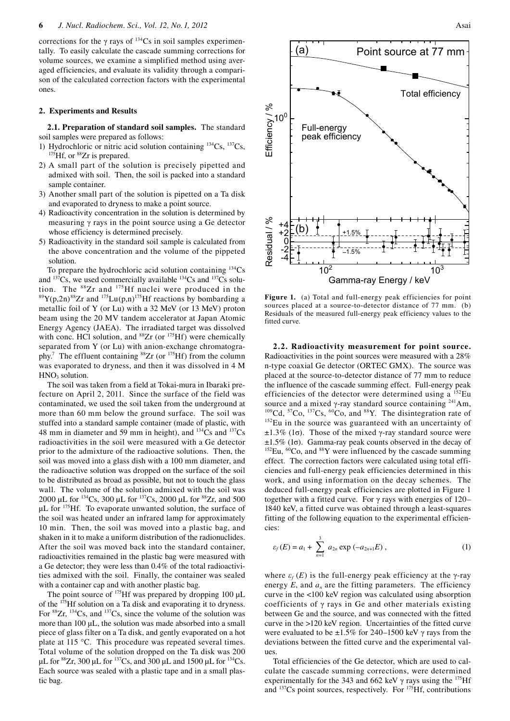corrections for the  $\gamma$  rays of <sup>134</sup>Cs in soil samples experimentally. To easily calculate the cascade summing corrections for volume sources, we examine a simplified method using averaged efficiencies, and evaluate its validity through a comparison of the calculated correction factors with the experimental ones.

### **2. Experiments and Results**

**2.1. Preparation of standard soil samples.** The standard soil samples were prepared as follows:

- 1) Hydrochloric or nitric acid solution containing  $^{134}Cs$ ,  $^{137}Cs$ ,  $^{175}Hf$ , or  $^{88}Zr$  is prepared.
- 2) A small part of the solution is precisely pipetted and admixed with soil. Then, the soil is packed into a standard sample container.
- 3) Another small part of the solution is pipetted on a Ta disk and evaporated to dryness to make a point source.
- 4) Radioactivity concentration in the solution is determined by measuring γ rays in the point source using a Ge detector whose efficiency is determined precisely.
- 5) Radioactivity in the standard soil sample is calculated from the above concentration and the volume of the pippeted solution.

To prepare the hydrochloric acid solution containing  $^{134}Cs$ and  $^{137}Cs$ , we used commercially available  $^{134}Cs$  and  $^{137}Cs$  solution. The  $^{88}Zr$  and  $^{175}Hf$  nuclei were produced in the  $t^{89}Y(p,2n)^{88}Zr$  and  $t^{175}Lu(p,n)^{175}Hf$  reactions by bombarding a metallic foil of Y (or Lu) with a 32 MeV (or 13 MeV) proton beam using the 20 MV tandem accelerator at Japan Atomic Energy Agency (JAEA). The irradiated target was dissolved with conc. HCl solution, and <sup>88</sup>Zr (or <sup>175</sup>Hf) were chemically separated from Y (or Lu) with anion-exchange chromatography.<sup>7</sup> The effluent containing  ${}^{88}Zr$  (or  ${}^{175}Hf$ ) from the column was evaporated to dryness, and then it was dissolved in 4 M  $HNO<sub>3</sub>$  solution.

The soil was taken from a field at Tokai-mura in Ibaraki prefecture on April 2, 2011. Since the surface of the field was contaminated, we used the soil taken from the underground at more than 60 mm below the ground surface. The soil was stuffed into a standard sample container (made of plastic, with 48 mm in diameter and 59 mm in height), and  $^{134}Cs$  and  $^{137}Cs$ radioactivities in the soil were measured with a Ge detector prior to the admixture of the radioactive solutions. Then, the soil was moved into a glass dish with a 100 mm diameter, and the radioactive solution was dropped on the surface of the soil to be distributed as broad as possible, but not to touch the glass wall. The volume of the solution admixed with the soil was 2000 µL for <sup>134</sup>Cs, 300 µL for <sup>137</sup>Cs, 2000 µL for <sup>88</sup>Zr, and 500 µL for <sup>175</sup>Hf. To evaporate unwanted solution, the surface of the soil was heated under an infrared lamp for approximately 10 min. Then, the soil was moved into a plastic bag, and shaken in it to make a uniform distribution of the radionuclides. After the soil was moved back into the standard container, radioactivities remained in the plastic bag were measured with a Ge detector; they were less than 0.4% of the total radioactivities admixed with the soil. Finally, the container was sealed with a container cap and with another plastic bag.

The point source of  $^{175}$ Hf was prepared by dropping 100 µL of the 175Hf solution on a Ta disk and evaporating it to dryness. For  ${}^{88}Zr$ ,  ${}^{134}Cs$ , and  ${}^{137}Cs$ , since the volume of the solution was more than 100 µL, the solution was made absorbed into a small piece of glass filter on a Ta disk, and gently evaporated on a hot plate at 115 °C. This procedure was repeated several times. Total volume of the solution dropped on the Ta disk was 200  $\mu$ L for <sup>88</sup>Zr, 300  $\mu$ L for <sup>137</sup>Cs, and 300  $\mu$ L and 1500  $\mu$ L for <sup>134</sup>Cs. Each source was sealed with a plastic tape and in a small plastic bag.



Figure 1. (a) Total and full-energy peak efficiencies for point sources placed at a source-to-detector distance of 77 mm. (b) Residuals of the measured full-energy peak efficiency values to the fitted curve.

**2.2. Radioactivity measurement for point source.**  Radioactivities in the point sources were measured with a 28% n-type coaxial Ge detector (ORTEC GMX). The source was placed at the source-to-detector distance of 77 mm to reduce the influence of the cascade summing effect. Full-energy peak efficiencies of the detector were determined using a 152Eu source and a mixed γ-ray standard source containing <sup>241</sup>Am, <sup>109</sup>Cd, <sup>57</sup>Co, <sup>137</sup>Cs, <sup>60</sup>Co, and <sup>88</sup>Y. The disintegration rate of <sup>152</sup>Eu in the source was guaranteed with an uncertainty of  $±1.3\%$  (1σ). Those of the mixed γ-ray standard source were  $\pm 1.5\%$  (1σ). Gamma-ray peak counts observed in the decay of  $^{152}$ Eu, <sup>60</sup>Co, and <sup>88</sup>Y were influenced by the cascade summing effect. The correction factors were calculated using total efficiencies and full-energy peak efficiencies determined in this work, and using information on the decay schemes. The deduced full-energy peak efficiencies are plotted in Figure 1 together with a fitted curve. For γ rays with energies of 120– 1840 keV, a fitted curve was obtained through a least-squares fitting of the following equation to the experimental efficiencies:

$$
\varepsilon_f(E) = a_1 + \sum_{n=1}^3 a_{2n} \exp(-a_{2n+1}E), \qquad (1)
$$

where  $\varepsilon_f(E)$  is the full-energy peak efficiency at the  $\gamma$ -ray energy  $E$ , and  $a_n$  are the fitting parameters. The efficiency curve in the <100 keV region was calculated using absorption coefficients of  $\gamma$  rays in Ge and other materials existing between Ge and the source, and was connected with the fitted curve in the >120 keV region. Uncertainties of the fitted curve were evaluated to be  $\pm 1.5\%$  for 240–1500 keV  $\gamma$  rays from the deviations between the fitted curve and the experimental values.

Total efficiencies of the Ge detector, which are used to calculate the cascade summing corrections, were determined experimentally for the 343 and 662 keV  $\gamma$  rays using the <sup>175</sup>Hf and  $137Cs$  point sources, respectively. For  $175Hf$ , contributions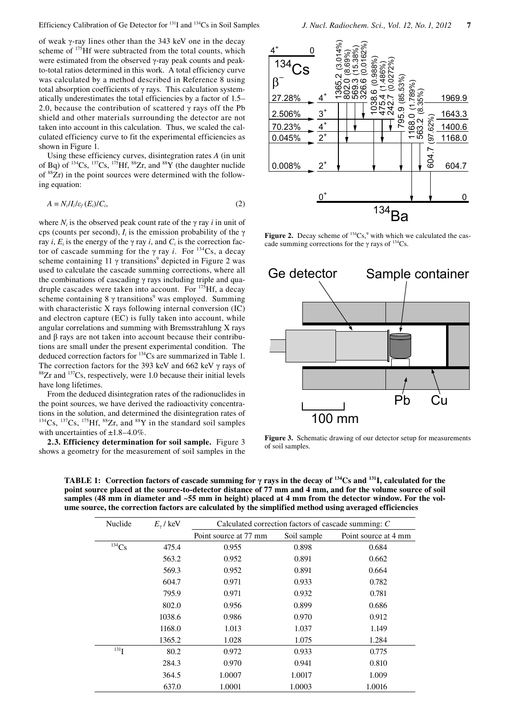of weak γ-ray lines other than the 343 keV one in the decay scheme of 175Hf were subtracted from the total counts, which were estimated from the observed γ-ray peak counts and peakto-total ratios determined in this work. A total efficiency curve was calculated by a method described in Reference 8 using total absorption coefficients of  $\gamma$  rays. This calculation systematically underestimates the total efficiencies by a factor of 1.5– 2.0, because the contribution of scattered  $\gamma$  rays off the Pb shield and other materials surrounding the detector are not taken into account in this calculation. Thus, we scaled the calculated efficiency curve to fit the experimental efficiencies as shown in Figure 1.

Using these efficiency curves, disintegration rates *A* (in unit of Bq) of  $^{134}Cs$ ,  $^{137}Cs$ ,  $^{175}Hf$ ,  $^{88}Zr$ , and  $^{88}Y$  (the daughter nuclide of 88Zr) in the point sources were determined with the following equation:

$$
A = N_i / I_i / \varepsilon_f(E_i) / C_i, \tag{2}
$$

where  $N_i$  is the observed peak count rate of the  $\gamma$  ray *i* in unit of cps (counts per second),  $I_i$  is the emission probability of the  $\gamma$ ray *i*,  $E_i$  is the energy of the  $\gamma$  ray *i*, and  $C_i$  is the correction factor of cascade summing for the  $\gamma$  ray *i*. For <sup>134</sup>Cs, a decay scheme containing 11  $\gamma$  transitions<sup>9</sup> depicted in Figure 2 was used to calculate the cascade summing corrections, where all the combinations of cascading  $\gamma$  rays including triple and quadruple cascades were taken into account. For  $175$  Hf, a decay scheme containing  $8 \gamma$  transitions<sup>9</sup> was employed. Summing with characteristic X rays following internal conversion (IC) and electron capture (EC) is fully taken into account, while angular correlations and summing with Bremsstrahlung X rays and β rays are not taken into account because their contributions are small under the present experimental condition. The deduced correction factors for 134Cs are summarized in Table 1. The correction factors for the 393 keV and 662 keV  $\gamma$  rays of <sup>88</sup>Zr and <sup>137</sup>Cs, respectively, were 1.0 because their initial levels have long lifetimes.

From the deduced disintegration rates of the radionuclides in the point sources, we have derived the radioactivity concentrations in the solution, and determined the disintegration rates of  $134Cs$ ,  $137Cs$ ,  $175Hf$ ,  $88Zr$ , and  $88Y$  in the standard soil samples with uncertainties of  $\pm 1.8 - 4.0\%$ .

**2.3. Efficiency determination for soil sample.** Figure 3 shows a geometry for the measurement of soil samples in the



**Figure 2.** Decay scheme of  $134Cs$ , with which we calculated the cascade summing corrections for the  $\gamma$  rays of <sup>134</sup>Cs.



**Figure 3.** Schematic drawing of our detector setup for measurements of soil samples.

**TABLE 1: Correction factors of cascade summing for γ rays in the decay of 134Cs and 131I, calculated for the point source placed at the source-to-detector distance of 77 mm and 4 mm, and for the volume source of soil samples (48 mm in diameter and ~55 mm in height) placed at 4 mm from the detector window. For the vol-**

| Nuclide      | $E_{\gamma}$ / keV | Calculated correction factors of cascade summing: C |             |                      |
|--------------|--------------------|-----------------------------------------------------|-------------|----------------------|
|              |                    | Point source at 77 mm                               | Soil sample | Point source at 4 mm |
| ${}^{134}Cs$ | 475.4              | 0.955                                               | 0.898       | 0.684                |
|              | 563.2              | 0.952                                               | 0.891       | 0.662                |
|              | 569.3              | 0.952                                               | 0.891       | 0.664                |
|              | 604.7              | 0.971                                               | 0.933       | 0.782                |
|              | 795.9              | 0.971                                               | 0.932       | 0.781                |
|              | 802.0              | 0.956                                               | 0.899       | 0.686                |
|              | 1038.6             | 0.986                                               | 0.970       | 0.912                |
|              | 1168.0             | 1.013                                               | 1.037       | 1.149                |
|              | 1365.2             | 1.028                                               | 1.075       | 1.284                |
| $^{131}$ I   | 80.2               | 0.972                                               | 0.933       | 0.775                |
|              | 284.3              | 0.970                                               | 0.941       | 0.810                |
|              | 364.5              | 1.0007                                              | 1.0017      | 1.009                |
|              | 637.0              | 1.0001                                              | 1.0003      | 1.0016               |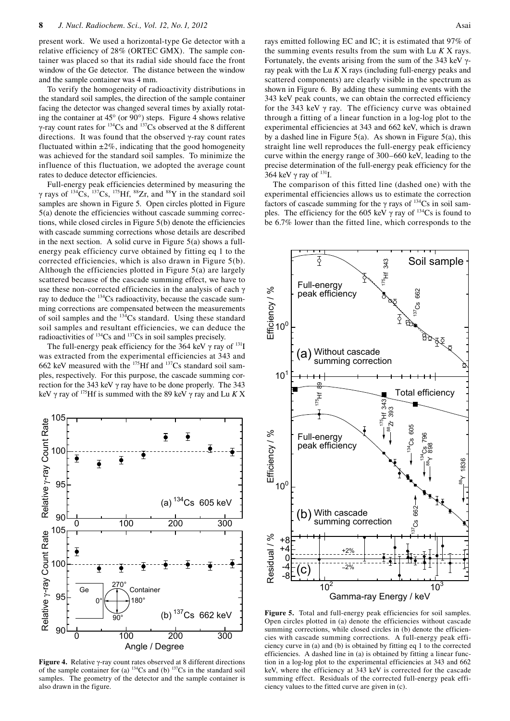present work. We used a horizontal-type Ge detector with a relative efficiency of 28% (ORTEC GMX). The sample container was placed so that its radial side should face the front window of the Ge detector. The distance between the window and the sample container was 4 mm.

To verify the homogeneity of radioactivity distributions in the standard soil samples, the direction of the sample container facing the detector was changed several times by axially rotating the container at 45° (or 90°) steps. Figure 4 shows relative γ-ray count rates for  $^{134}Cs$  and  $^{137}Cs$  observed at the 8 different directions. It was found that the observed γ-ray count rates fluctuated within  $\pm 2\%$ , indicating that the good homogeneity was achieved for the standard soil samples. To minimize the influence of this fluctuation, we adopted the average count rates to deduce detector efficiencies.

Full-energy peak efficiencies determined by measuring the  $\gamma$  rays of <sup>134</sup>Cs, <sup>137</sup>Cs, <sup>175</sup>Hf, <sup>88</sup>Zr, and <sup>88</sup>Y in the standard soil samples are shown in Figure 5. Open circles plotted in Figure 5(a) denote the efficiencies without cascade summing corrections, while closed circles in Figure 5(b) denote the efficiencies with cascade summing corrections whose details are described in the next section. A solid curve in Figure 5(a) shows a fullenergy peak efficiency curve obtained by fitting eq 1 to the corrected efficiencies, which is also drawn in Figure 5(b). Although the efficiencies plotted in Figure 5(a) are largely scattered because of the cascade summing effect, we have to use these non-corrected efficiencies in the analysis of each γ ray to deduce the  $134$ Cs radioactivity, because the cascade summing corrections are compensated between the measurements of soil samples and the 134Cs standard. Using these standard soil samples and resultant efficiencies, we can deduce the radioactivities of 134Cs and 137Cs in soil samples precisely.

The full-energy peak efficiency for the 364 keV  $\gamma$  ray of <sup>131</sup>I was extracted from the experimental efficiencies at 343 and 662 keV measured with the  $^{175}$ Hf and  $^{137}$ Cs standard soil samples, respectively. For this purpose, the cascade summing correction for the 343 keV γ ray have to be done properly. The 343 keV γ ray of 175Hf is summed with the 89 keV γ ray and Lu *K* X



**Figure 4.** Relative γ-ray count rates observed at 8 different directions of the sample container for (a)  $134$ Cs and (b)  $137$ Cs in the standard soil samples. The geometry of the detector and the sample container is also drawn in the figure.

rays emitted following EC and IC; it is estimated that 97% of the summing events results from the sum with Lu *K* X rays. Fortunately, the events arising from the sum of the 343 keV  $\gamma$ ray peak with the Lu *K* X rays (including full-energy peaks and scattered components) are clearly visible in the spectrum as shown in Figure 6. By adding these summing events with the 343 keV peak counts, we can obtain the corrected efficiency for the 343 keV γ ray. The efficiency curve was obtained through a fitting of a linear function in a log-log plot to the experimental efficiencies at 343 and 662 keV, which is drawn by a dashed line in Figure 5(a). As shown in Figure 5(a), this straight line well reproduces the full-energy peak efficiency curve within the energy range of 300–660 keV, leading to the precise determination of the full-energy peak efficiency for the 364 keV  $\gamma$  ray of  $^{131}$ I.

The comparison of this fitted line (dashed one) with the experimental efficiencies allows us to estimate the correction factors of cascade summing for the  $\gamma$  rays of  $^{134}Cs$  in soil samples. The efficiency for the 605 keV  $\gamma$  ray of <sup>134</sup>Cs is found to be 6.7% lower than the fitted line, which corresponds to the



Figure 5. Total and full-energy peak efficiencies for soil samples. Open circles plotted in (a) denote the efficiencies without cascade summing corrections, while closed circles in (b) denote the efficiencies with cascade summing corrections. A full-energy peak efficiency curve in (a) and (b) is obtained by fitting eq 1 to the corrected efficiencies. A dashed line in (a) is obtained by fitting a linear function in a log-log plot to the experimental efficiencies at 343 and 662 keV, where the efficiency at 343 keV is corrected for the cascade summing effect. Residuals of the corrected full-energy peak efficiency values to the fitted curve are given in (c).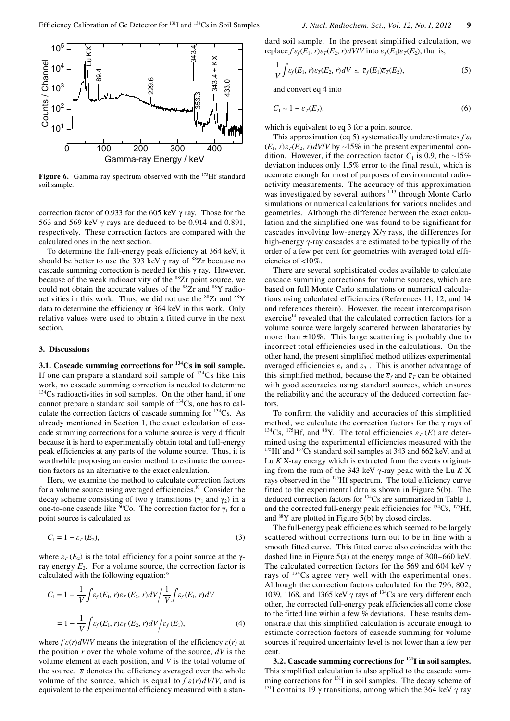

Figure 6. Gamma-ray spectrum observed with the <sup>175</sup>Hf standard soil sample.

correction factor of 0.933 for the 605 keV γ ray. Those for the 563 and 569 keV  $\gamma$  rays are deduced to be 0.914 and 0.891, respectively. These correction factors are compared with the calculated ones in the next section.

To determine the full-energy peak efficiency at 364 keV, it should be better to use the 393 keV  $\gamma$  ray of  $^{88}Zr$  because no cascade summing correction is needed for this γ ray. However, because of the weak radioactivity of the <sup>88</sup>Zr point source, we could not obtain the accurate values of the <sup>88</sup>Zr and <sup>88</sup>Y radioactivities in this work. Thus, we did not use the  ${}^{88}Zr$  and  ${}^{88}Y$ data to determine the efficiency at 364 keV in this work. Only relative values were used to obtain a fitted curve in the next section.

### **3. Discussions**

**3.1. Cascade summing corrections for 134Cs in soil sample.** If one can prepare a standard soil sample of  $134Cs$  like this work, no cascade summing correction is needed to determine <sup>134</sup>Cs radioactivities in soil samples. On the other hand, if one cannot prepare a standard soil sample of 134Cs, one has to calculate the correction factors of cascade summing for 134Cs. As already mentioned in Section 1, the exact calculation of cascade summing corrections for a volume source is very difficult because it is hard to experimentally obtain total and full-energy peak efficiencies at any parts of the volume source. Thus, it is worthwhile proposing an easier method to estimate the correction factors as an alternative to the exact calculation.

Here, we examine the method to calculate correction factors for a volume source using averaged efficiencies.<sup>10</sup> Consider the decay scheme consisting of two  $\gamma$  transitions ( $\gamma_1$  and  $\gamma_2$ ) in a one-to-one cascade like <sup>60</sup>Co. The correction factor for  $\gamma_1$  for a point source is calculated as

$$
C_1 = 1 - \varepsilon_T(E_2),\tag{3}
$$

where  $\varepsilon_T(E_2)$  is the total efficiency for a point source at the  $\gamma$ ray energy  $E_2$ . For a volume source, the correction factor is calculated with the following equation:6

$$
C_1 = 1 - \frac{1}{V} \int \varepsilon_f(E_1, r) \varepsilon_T(E_2, r) dV \Big/ \frac{1}{V} \int \varepsilon_f(E_1, r) dV
$$

$$
= 1 - \frac{1}{V} \int \varepsilon_f(E_1, r) \varepsilon_T(E_2, r) dV \Big/ \overline{\varepsilon}_f(E_1), \tag{4}
$$

where  $\int \varepsilon(r) dV/V$  means the integration of the efficiency  $\varepsilon(r)$  at the position *r* over the whole volume of the source, *dV* is the volume element at each position, and *V* is the total volume of the source.  $\bar{\varepsilon}$  denotes the efficiency averaged over the whole volume of the source, which is equal to  $\int \varepsilon(r) dV/V$ , and is equivalent to the experimental efficiency measured with a standard soil sample. In the present simplified calculation, we replace  $\int \varepsilon_f(E_1, r) \varepsilon_T(E_2, r) dV/V$  into  $\overline{\varepsilon}_f(E_1) \overline{\varepsilon}_T(E_2)$ , that is,

$$
\frac{1}{V}\int \varepsilon_f(E_1,r)\varepsilon_T(E_2,r)dV \simeq \bar{\varepsilon}_f(E_1)\bar{\varepsilon}_T(E_2),\tag{5}
$$

and convert eq 4 into

$$
C_1 \simeq 1 - \overline{\varepsilon}_T(E_2),\tag{6}
$$

which is equivalent to eq 3 for a point source.

This approximation (eq 5) systematically underestimates *ʃ ε<sup>f</sup>*  $(E_1, r)\varepsilon_T(E_2, r)dV/V$  by  $\sim 15\%$  in the present experimental condition. However, if the correction factor  $C_1$  is 0.9, the ~15% deviation induces only 1.5% error to the final result, which is accurate enough for most of purposes of environmental radioactivity measurements. The accuracy of this approximation was investigated by several authors<sup>11-13</sup> through Monte Carlo simulations or numerical calculations for various nuclides and geometries. Although the difference between the exact calculation and the simplified one was found to be significant for cascades involving low-energy X/γ rays, the differences for high-energy γ-ray cascades are estimated to be typically of the order of a few per cent for geometries with averaged total efficiencies of <10%.

There are several sophisticated codes available to calculate cascade summing corrections for volume sources, which are based on full Monte Carlo simulations or numerical calculations using calculated efficiencies (References 11, 12, and 14 and references therein). However, the recent intercomparison exercise<sup>14</sup> revealed that the calculated correction factors for a volume source were largely scattered between laboratories by more than  $\pm 10\%$ . This large scattering is probably due to incorrect total efficiencies used in the calculations. On the other hand, the present simplified method utilizes experimental averaged efficiencies  $\overline{\varepsilon}_f$  and  $\overline{\varepsilon}_T$ . This is another advantage of this simplified method, because the  $\bar{\varepsilon}_f$  and  $\bar{\varepsilon}_T$  can be obtained with good accuracies using standard sources, which ensures the reliability and the accuracy of the deduced correction factors.

To confirm the validity and accuracies of this simplified method, we calculate the correction factors for the  $\gamma$  rays of <sup>134</sup>Cs, <sup>175</sup>Hf, and <sup>88</sup>Y. The total efficiencies  $\bar{\varepsilon}_T(E)$  are determined using the experimental efficiencies measured with the <sup>175</sup>Hf and <sup>137</sup>Cs standard soil samples at 343 and 662 keV, and at Lu *K* X-ray energy which is extracted from the events originating from the sum of the 343 keV γ-ray peak with the Lu *K* X rays observed in the <sup>175</sup>Hf spectrum. The total efficiency curve fitted to the experimental data is shown in Figure 5(b). The deduced correction factors for <sup>134</sup>Cs are summarized in Table 1, and the corrected full-energy peak efficiencies for  $^{134}Cs$ ,  $^{175}Hf$ , and  $88Y$  are plotted in Figure 5(b) by closed circles.

The full-energy peak efficiencies which seemed to be largely scattered without corrections turn out to be in line with a smooth fitted curve. This fitted curve also coincides with the dashed line in Figure 5(a) at the energy range of 300–660 keV. The calculated correction factors for the 569 and 604 keV γ rays of 134Cs agree very well with the experimental ones. Although the correction factors calculated for the 796, 802, 1039, 1168, and 1365 keV  $\gamma$  rays of <sup>134</sup>Cs are very different each other, the corrected full-energy peak efficiencies all come close to the fitted line within a few % deviations. These results demonstrate that this simplified calculation is accurate enough to estimate correction factors of cascade summing for volume sources if required uncertainty level is not lower than a few per cent.

**3.2. Cascade summing corrections for 131I in soil samples.** This simplified calculation is also applied to the cascade summing corrections for <sup>131</sup>I in soil samples. The decay scheme of <sup>131</sup>I contains 19  $\gamma$  transitions, among which the 364 keV  $\gamma$  ray